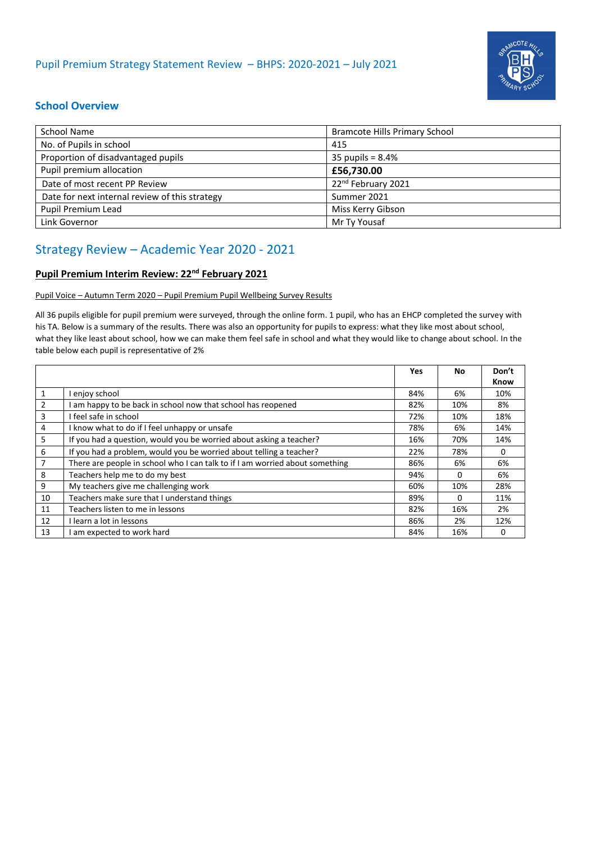

## **School Overview**

| School Name                                    | Bramcote Hills Primary School  |
|------------------------------------------------|--------------------------------|
| No. of Pupils in school                        | 415                            |
| Proportion of disadvantaged pupils             | 35 pupils = $8.4%$             |
| Pupil premium allocation                       | £56,730.00                     |
| Date of most recent PP Review                  | 22 <sup>nd</sup> February 2021 |
| Date for next internal review of this strategy | Summer 2021                    |
| Pupil Premium Lead                             | Miss Kerry Gibson              |
| Link Governor                                  | Mr Ty Yousaf                   |

## Strategy Review – Academic Year 2020 - 2021

## **Pupil Premium Interim Review: 22nd February 2021**

Pupil Voice – Autumn Term 2020 – Pupil Premium Pupil Wellbeing Survey Results

All 36 pupils eligible for pupil premium were surveyed, through the online form. 1 pupil, who has an EHCP completed the survey with his TA. Below is a summary of the results. There was also an opportunity for pupils to express: what they like most about school, what they like least about school, how we can make them feel safe in school and what they would like to change about school. In the table below each pupil is representative of 2%

|    |                                                                              | Yes | <b>No</b> | Don't       |
|----|------------------------------------------------------------------------------|-----|-----------|-------------|
|    |                                                                              |     |           | <b>Know</b> |
| 1  | enjoy school                                                                 | 84% | 6%        | 10%         |
| 2  | am happy to be back in school now that school has reopened                   | 82% | 10%       | 8%          |
| 3  | I feel safe in school                                                        | 72% | 10%       | 18%         |
| 4  | I know what to do if I feel unhappy or unsafe                                | 78% | 6%        | 14%         |
| 5  | If you had a question, would you be worried about asking a teacher?          | 16% | 70%       | 14%         |
| 6  | If you had a problem, would you be worried about telling a teacher?          | 22% | 78%       | 0           |
| 7  | There are people in school who I can talk to if I am worried about something | 86% | 6%        | 6%          |
| 8  | Teachers help me to do my best                                               | 94% | $\Omega$  | 6%          |
| 9  | My teachers give me challenging work                                         | 60% | 10%       | 28%         |
| 10 | Teachers make sure that I understand things                                  | 89% | 0         | 11%         |
| 11 | Teachers listen to me in lessons                                             | 82% | 16%       | 2%          |
| 12 | I learn a lot in lessons                                                     | 86% | 2%        | 12%         |
| 13 | am expected to work hard                                                     | 84% | 16%       | 0           |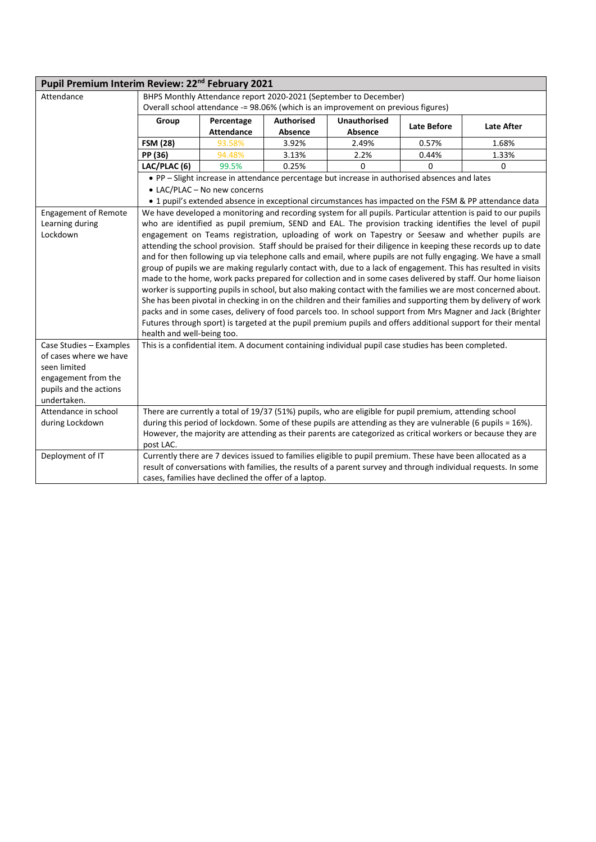| Pupil Premium Interim Review: 22 <sup>nd</sup> February 2021 |                                                                                                                                                                                                                               |                              |                                                      |                                                                                                             |             |                                                                                                                 |
|--------------------------------------------------------------|-------------------------------------------------------------------------------------------------------------------------------------------------------------------------------------------------------------------------------|------------------------------|------------------------------------------------------|-------------------------------------------------------------------------------------------------------------|-------------|-----------------------------------------------------------------------------------------------------------------|
| Attendance                                                   | BHPS Monthly Attendance report 2020-2021 (September to December)                                                                                                                                                              |                              |                                                      |                                                                                                             |             |                                                                                                                 |
|                                                              | Overall school attendance -= 98.06% (which is an improvement on previous figures)                                                                                                                                             |                              |                                                      |                                                                                                             |             |                                                                                                                 |
|                                                              | Group                                                                                                                                                                                                                         | Percentage                   | <b>Authorised</b>                                    | <b>Unauthorised</b>                                                                                         | Late Before | <b>Late After</b>                                                                                               |
|                                                              |                                                                                                                                                                                                                               | <b>Attendance</b>            | Absence                                              | <b>Absence</b>                                                                                              |             |                                                                                                                 |
|                                                              | <b>FSM (28)</b>                                                                                                                                                                                                               | 93.58%                       | 3.92%                                                | 2.49%                                                                                                       | 0.57%       | 1.68%                                                                                                           |
|                                                              | PP (36)                                                                                                                                                                                                                       | 94.48%                       | 3.13%                                                | 2.2%                                                                                                        | 0.44%       | 1.33%                                                                                                           |
|                                                              | LAC/PLAC (6)                                                                                                                                                                                                                  | 99.5%                        | 0.25%                                                | $\Omega$                                                                                                    | $\mathbf 0$ | 0                                                                                                               |
|                                                              |                                                                                                                                                                                                                               |                              |                                                      | • PP - Slight increase in attendance percentage but increase in authorised absences and lates               |             |                                                                                                                 |
|                                                              |                                                                                                                                                                                                                               | • LAC/PLAC - No new concerns |                                                      |                                                                                                             |             |                                                                                                                 |
|                                                              |                                                                                                                                                                                                                               |                              |                                                      |                                                                                                             |             | • 1 pupil's extended absence in exceptional circumstances has impacted on the FSM & PP attendance data          |
| <b>Engagement of Remote</b>                                  |                                                                                                                                                                                                                               |                              |                                                      |                                                                                                             |             | We have developed a monitoring and recording system for all pupils. Particular attention is paid to our pupils  |
| Learning during                                              |                                                                                                                                                                                                                               |                              |                                                      |                                                                                                             |             | who are identified as pupil premium, SEND and EAL. The provision tracking identifies the level of pupil         |
| Lockdown                                                     |                                                                                                                                                                                                                               |                              |                                                      |                                                                                                             |             | engagement on Teams registration, uploading of work on Tapestry or Seesaw and whether pupils are                |
|                                                              |                                                                                                                                                                                                                               |                              |                                                      |                                                                                                             |             | attending the school provision. Staff should be praised for their diligence in keeping these records up to date |
|                                                              |                                                                                                                                                                                                                               |                              |                                                      |                                                                                                             |             | and for then following up via telephone calls and email, where pupils are not fully engaging. We have a small   |
|                                                              |                                                                                                                                                                                                                               |                              |                                                      |                                                                                                             |             | group of pupils we are making regularly contact with, due to a lack of engagement. This has resulted in visits  |
|                                                              |                                                                                                                                                                                                                               |                              |                                                      |                                                                                                             |             | made to the home, work packs prepared for collection and in some cases delivered by staff. Our home liaison     |
|                                                              |                                                                                                                                                                                                                               |                              |                                                      |                                                                                                             |             | worker is supporting pupils in school, but also making contact with the families we are most concerned about.   |
|                                                              | She has been pivotal in checking in on the children and their families and supporting them by delivery of work<br>packs and in some cases, delivery of food parcels too. In school support from Mrs Magner and Jack (Brighter |                              |                                                      |                                                                                                             |             |                                                                                                                 |
|                                                              |                                                                                                                                                                                                                               |                              |                                                      |                                                                                                             |             | Futures through sport) is targeted at the pupil premium pupils and offers additional support for their mental   |
|                                                              | health and well-being too.                                                                                                                                                                                                    |                              |                                                      |                                                                                                             |             |                                                                                                                 |
| Case Studies - Examples                                      |                                                                                                                                                                                                                               |                              |                                                      | This is a confidential item. A document containing individual pupil case studies has been completed.        |             |                                                                                                                 |
| of cases where we have                                       |                                                                                                                                                                                                                               |                              |                                                      |                                                                                                             |             |                                                                                                                 |
| seen limited                                                 |                                                                                                                                                                                                                               |                              |                                                      |                                                                                                             |             |                                                                                                                 |
| engagement from the                                          |                                                                                                                                                                                                                               |                              |                                                      |                                                                                                             |             |                                                                                                                 |
| pupils and the actions                                       |                                                                                                                                                                                                                               |                              |                                                      |                                                                                                             |             |                                                                                                                 |
| undertaken.                                                  |                                                                                                                                                                                                                               |                              |                                                      |                                                                                                             |             |                                                                                                                 |
| Attendance in school                                         | There are currently a total of 19/37 (51%) pupils, who are eligible for pupil premium, attending school                                                                                                                       |                              |                                                      |                                                                                                             |             |                                                                                                                 |
| during Lockdown                                              |                                                                                                                                                                                                                               |                              |                                                      | during this period of lockdown. Some of these pupils are attending as they are vulnerable (6 pupils = 16%). |             |                                                                                                                 |
|                                                              | However, the majority are attending as their parents are categorized as critical workers or because they are                                                                                                                  |                              |                                                      |                                                                                                             |             |                                                                                                                 |
|                                                              | post LAC.                                                                                                                                                                                                                     |                              |                                                      |                                                                                                             |             |                                                                                                                 |
| Deployment of IT                                             |                                                                                                                                                                                                                               |                              |                                                      | Currently there are 7 devices issued to families eligible to pupil premium. These have been allocated as a  |             |                                                                                                                 |
|                                                              |                                                                                                                                                                                                                               |                              |                                                      |                                                                                                             |             | result of conversations with families, the results of a parent survey and through individual requests. In some  |
|                                                              |                                                                                                                                                                                                                               |                              | cases, families have declined the offer of a laptop. |                                                                                                             |             |                                                                                                                 |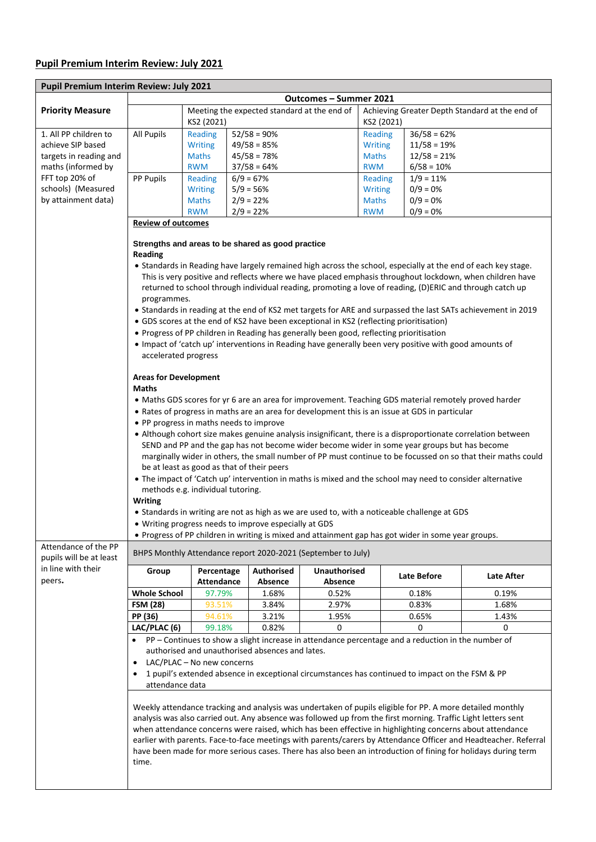## **Pupil Premium Interim Review: July 2021**

Ē.

| Pupil Premium Interim Review: July 2021         |                                                                                                                                                                                                                            |                                                           |                                                                                         |                                |                                                              |                                                                                                        |                                                                                                                                                                                                                      |  |
|-------------------------------------------------|----------------------------------------------------------------------------------------------------------------------------------------------------------------------------------------------------------------------------|-----------------------------------------------------------|-----------------------------------------------------------------------------------------|--------------------------------|--------------------------------------------------------------|--------------------------------------------------------------------------------------------------------|----------------------------------------------------------------------------------------------------------------------------------------------------------------------------------------------------------------------|--|
|                                                 | Outcomes - Summer 2021                                                                                                                                                                                                     |                                                           |                                                                                         |                                |                                                              |                                                                                                        |                                                                                                                                                                                                                      |  |
| <b>Priority Measure</b>                         |                                                                                                                                                                                                                            | Meeting the expected standard at the end of<br>KS2 (2021) |                                                                                         |                                | Achieving Greater Depth Standard at the end of<br>KS2 (2021) |                                                                                                        |                                                                                                                                                                                                                      |  |
| 1. All PP children to                           | <b>All Pupils</b>                                                                                                                                                                                                          | Reading                                                   | $52/58 = 90%$                                                                           |                                | <b>Reading</b>                                               | $36/58 = 62%$                                                                                          |                                                                                                                                                                                                                      |  |
| achieve SIP based                               |                                                                                                                                                                                                                            | <b>Writing</b>                                            | $49/58 = 85%$                                                                           |                                | <b>Writing</b>                                               | $11/58 = 19%$                                                                                          |                                                                                                                                                                                                                      |  |
| targets in reading and                          |                                                                                                                                                                                                                            | <b>Maths</b>                                              | $45/58 = 78%$                                                                           |                                | <b>Maths</b>                                                 | $12/58 = 21%$                                                                                          |                                                                                                                                                                                                                      |  |
| maths (informed by                              |                                                                                                                                                                                                                            | <b>RWM</b>                                                | $37/58 = 64%$                                                                           |                                | <b>RWM</b>                                                   | $6/58 = 10%$                                                                                           |                                                                                                                                                                                                                      |  |
| FFT top 20% of                                  | PP Pupils                                                                                                                                                                                                                  | Reading                                                   | $6/9 = 67%$                                                                             |                                | <b>Reading</b>                                               | $1/9 = 11%$                                                                                            |                                                                                                                                                                                                                      |  |
| schools) (Measured                              |                                                                                                                                                                                                                            | <b>Writing</b>                                            | $5/9 = 56%$                                                                             |                                | <b>Writing</b>                                               | $0/9 = 0%$                                                                                             |                                                                                                                                                                                                                      |  |
| by attainment data)                             |                                                                                                                                                                                                                            | <b>Maths</b>                                              | $2/9 = 22%$                                                                             |                                | <b>Maths</b>                                                 | $0/9 = 0%$                                                                                             |                                                                                                                                                                                                                      |  |
|                                                 |                                                                                                                                                                                                                            | <b>RWM</b>                                                | $2/9 = 22%$                                                                             |                                | <b>RWM</b>                                                   | $0/9 = 0%$                                                                                             |                                                                                                                                                                                                                      |  |
|                                                 | <b>Review of outcomes</b>                                                                                                                                                                                                  |                                                           |                                                                                         |                                |                                                              |                                                                                                        |                                                                                                                                                                                                                      |  |
|                                                 | Reading                                                                                                                                                                                                                    |                                                           | Strengths and areas to be shared as good practice                                       |                                |                                                              |                                                                                                        |                                                                                                                                                                                                                      |  |
|                                                 |                                                                                                                                                                                                                            |                                                           |                                                                                         |                                |                                                              |                                                                                                        | • Standards in Reading have largely remained high across the school, especially at the end of each key stage.                                                                                                        |  |
|                                                 | programmes.                                                                                                                                                                                                                |                                                           |                                                                                         |                                |                                                              |                                                                                                        | This is very positive and reflects where we have placed emphasis throughout lockdown, when children have<br>returned to school through individual reading, promoting a love of reading, (D)ERIC and through catch up |  |
|                                                 |                                                                                                                                                                                                                            |                                                           |                                                                                         |                                |                                                              |                                                                                                        | • Standards in reading at the end of KS2 met targets for ARE and surpassed the last SATs achievement in 2019                                                                                                         |  |
|                                                 |                                                                                                                                                                                                                            |                                                           | • GDS scores at the end of KS2 have been exceptional in KS2 (reflecting prioritisation) |                                |                                                              |                                                                                                        |                                                                                                                                                                                                                      |  |
|                                                 |                                                                                                                                                                                                                            |                                                           |                                                                                         |                                |                                                              |                                                                                                        |                                                                                                                                                                                                                      |  |
|                                                 |                                                                                                                                                                                                                            |                                                           | • Progress of PP children in Reading has generally been good, reflecting prioritisation |                                |                                                              |                                                                                                        |                                                                                                                                                                                                                      |  |
|                                                 |                                                                                                                                                                                                                            |                                                           |                                                                                         |                                |                                                              | • Impact of 'catch up' interventions in Reading have generally been very positive with good amounts of |                                                                                                                                                                                                                      |  |
|                                                 | accelerated progress                                                                                                                                                                                                       |                                                           |                                                                                         |                                |                                                              |                                                                                                        |                                                                                                                                                                                                                      |  |
|                                                 | <b>Areas for Development</b><br><b>Maths</b>                                                                                                                                                                               |                                                           |                                                                                         |                                |                                                              |                                                                                                        |                                                                                                                                                                                                                      |  |
|                                                 |                                                                                                                                                                                                                            |                                                           |                                                                                         |                                |                                                              |                                                                                                        | • Maths GDS scores for yr 6 are an area for improvement. Teaching GDS material remotely proved harder                                                                                                                |  |
|                                                 |                                                                                                                                                                                                                            |                                                           |                                                                                         |                                |                                                              | • Rates of progress in maths are an area for development this is an issue at GDS in particular         |                                                                                                                                                                                                                      |  |
|                                                 |                                                                                                                                                                                                                            |                                                           |                                                                                         |                                |                                                              |                                                                                                        |                                                                                                                                                                                                                      |  |
|                                                 | • PP progress in maths needs to improve                                                                                                                                                                                    |                                                           |                                                                                         |                                |                                                              |                                                                                                        |                                                                                                                                                                                                                      |  |
|                                                 | • Although cohort size makes genuine analysis insignificant, there is a disproportionate correlation between                                                                                                               |                                                           |                                                                                         |                                |                                                              |                                                                                                        |                                                                                                                                                                                                                      |  |
|                                                 | SEND and PP and the gap has not become wider become wider in some year groups but has become                                                                                                                               |                                                           |                                                                                         |                                |                                                              |                                                                                                        |                                                                                                                                                                                                                      |  |
|                                                 | marginally wider in others, the small number of PP must continue to be focussed on so that their maths could<br>be at least as good as that of their peers                                                                 |                                                           |                                                                                         |                                |                                                              |                                                                                                        |                                                                                                                                                                                                                      |  |
|                                                 |                                                                                                                                                                                                                            |                                                           |                                                                                         |                                |                                                              |                                                                                                        |                                                                                                                                                                                                                      |  |
|                                                 | • The impact of 'Catch up' intervention in maths is mixed and the school may need to consider alternative                                                                                                                  |                                                           |                                                                                         |                                |                                                              |                                                                                                        |                                                                                                                                                                                                                      |  |
|                                                 |                                                                                                                                                                                                                            | methods e.g. individual tutoring.                         |                                                                                         |                                |                                                              |                                                                                                        |                                                                                                                                                                                                                      |  |
|                                                 | <b>Writing</b>                                                                                                                                                                                                             |                                                           |                                                                                         |                                |                                                              |                                                                                                        |                                                                                                                                                                                                                      |  |
|                                                 |                                                                                                                                                                                                                            |                                                           |                                                                                         |                                |                                                              | • Standards in writing are not as high as we are used to, with a noticeable challenge at GDS           |                                                                                                                                                                                                                      |  |
|                                                 |                                                                                                                                                                                                                            |                                                           | • Writing progress needs to improve especially at GDS                                   |                                |                                                              |                                                                                                        |                                                                                                                                                                                                                      |  |
|                                                 |                                                                                                                                                                                                                            |                                                           |                                                                                         |                                |                                                              | . Progress of PP children in writing is mixed and attainment gap has got wider in some year groups.    |                                                                                                                                                                                                                      |  |
| Attendance of the PP<br>pupils will be at least | BHPS Monthly Attendance report 2020-2021 (September to July)                                                                                                                                                               |                                                           |                                                                                         |                                |                                                              |                                                                                                        |                                                                                                                                                                                                                      |  |
| in line with their<br>peers.                    | Group                                                                                                                                                                                                                      | Percentage<br><b>Attendance</b>                           | <b>Authorised</b><br>Absence                                                            | <b>Unauthorised</b><br>Absence |                                                              | Late Before                                                                                            | Late After                                                                                                                                                                                                           |  |
|                                                 | <b>Whole School</b>                                                                                                                                                                                                        | 97.79%                                                    | 1.68%                                                                                   | 0.52%                          |                                                              | 0.18%                                                                                                  | 0.19%                                                                                                                                                                                                                |  |
|                                                 | <b>FSM (28)</b>                                                                                                                                                                                                            | 93.51%                                                    | 3.84%                                                                                   | 2.97%                          |                                                              | 0.83%                                                                                                  | 1.68%                                                                                                                                                                                                                |  |
|                                                 | PP (36)                                                                                                                                                                                                                    | 94.61%                                                    | 3.21%                                                                                   | 1.95%                          |                                                              | 0.65%                                                                                                  | 1.43%                                                                                                                                                                                                                |  |
|                                                 | LAC/PLAC (6)                                                                                                                                                                                                               | 99.18%                                                    | 0.82%                                                                                   | 0                              |                                                              | 0                                                                                                      | 0                                                                                                                                                                                                                    |  |
|                                                 |                                                                                                                                                                                                                            |                                                           |                                                                                         |                                |                                                              | PP – Continues to show a slight increase in attendance percentage and a reduction in the number of     |                                                                                                                                                                                                                      |  |
|                                                 |                                                                                                                                                                                                                            |                                                           | authorised and unauthorised absences and lates.                                         |                                |                                                              |                                                                                                        |                                                                                                                                                                                                                      |  |
|                                                 |                                                                                                                                                                                                                            | LAC/PLAC - No new concerns                                |                                                                                         |                                |                                                              |                                                                                                        |                                                                                                                                                                                                                      |  |
|                                                 | 1 pupil's extended absence in exceptional circumstances has continued to impact on the FSM & PP                                                                                                                            |                                                           |                                                                                         |                                |                                                              |                                                                                                        |                                                                                                                                                                                                                      |  |
|                                                 | attendance data                                                                                                                                                                                                            |                                                           |                                                                                         |                                |                                                              |                                                                                                        |                                                                                                                                                                                                                      |  |
|                                                 |                                                                                                                                                                                                                            |                                                           |                                                                                         |                                |                                                              |                                                                                                        |                                                                                                                                                                                                                      |  |
|                                                 | Weekly attendance tracking and analysis was undertaken of pupils eligible for PP. A more detailed monthly<br>analysis was also carried out. Any absence was followed up from the first morning. Traffic Light letters sent |                                                           |                                                                                         |                                |                                                              |                                                                                                        |                                                                                                                                                                                                                      |  |
|                                                 |                                                                                                                                                                                                                            |                                                           |                                                                                         |                                |                                                              |                                                                                                        |                                                                                                                                                                                                                      |  |
|                                                 | when attendance concerns were raised, which has been effective in highlighting concerns about attendance                                                                                                                   |                                                           |                                                                                         |                                |                                                              |                                                                                                        |                                                                                                                                                                                                                      |  |
|                                                 | earlier with parents. Face-to-face meetings with parents/carers by Attendance Officer and Headteacher. Referral                                                                                                            |                                                           |                                                                                         |                                |                                                              |                                                                                                        |                                                                                                                                                                                                                      |  |
|                                                 |                                                                                                                                                                                                                            |                                                           |                                                                                         |                                |                                                              |                                                                                                        | have been made for more serious cases. There has also been an introduction of fining for holidays during term                                                                                                        |  |
|                                                 | time.                                                                                                                                                                                                                      |                                                           |                                                                                         |                                |                                                              |                                                                                                        |                                                                                                                                                                                                                      |  |
|                                                 |                                                                                                                                                                                                                            |                                                           |                                                                                         |                                |                                                              |                                                                                                        |                                                                                                                                                                                                                      |  |
|                                                 |                                                                                                                                                                                                                            |                                                           |                                                                                         |                                |                                                              |                                                                                                        |                                                                                                                                                                                                                      |  |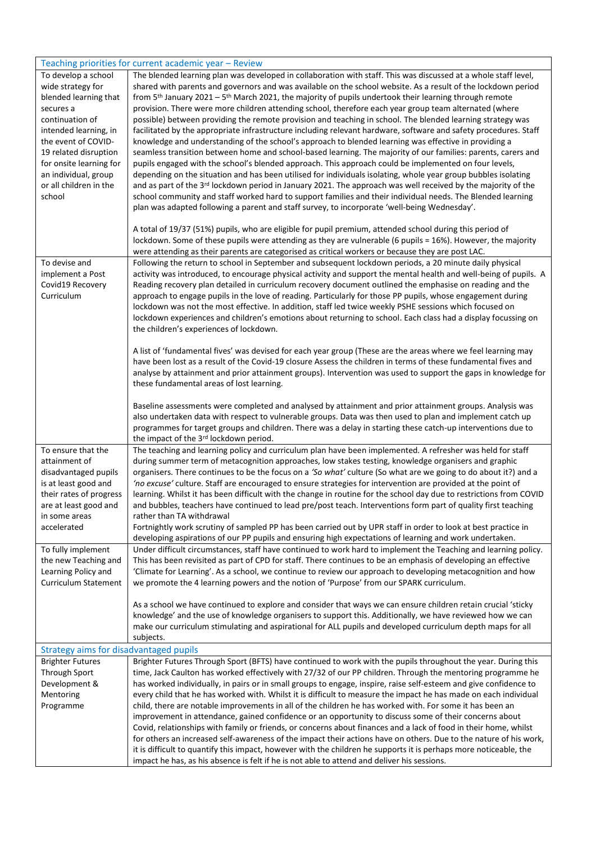|                                        | Teaching priorities for current academic year – Review                                                                         |
|----------------------------------------|--------------------------------------------------------------------------------------------------------------------------------|
| To develop a school                    | The blended learning plan was developed in collaboration with staff. This was discussed at a whole staff level,                |
| wide strategy for                      | shared with parents and governors and was available on the school website. As a result of the lockdown period                  |
| blended learning that                  | from 5 <sup>th</sup> January 2021 - 5 <sup>th</sup> March 2021, the majority of pupils undertook their learning through remote |
| secures a                              | provision. There were more children attending school, therefore each year group team alternated (where                         |
| continuation of                        | possible) between providing the remote provision and teaching in school. The blended learning strategy was                     |
| intended learning, in                  | facilitated by the appropriate infrastructure including relevant hardware, software and safety procedures. Staff               |
| the event of COVID-                    | knowledge and understanding of the school's approach to blended learning was effective in providing a                          |
| 19 related disruption                  | seamless transition between home and school-based learning. The majority of our families: parents, carers and                  |
| for onsite learning for                | pupils engaged with the school's blended approach. This approach could be implemented on four levels,                          |
| an individual, group                   | depending on the situation and has been utilised for individuals isolating, whole year group bubbles isolating                 |
| or all children in the                 | and as part of the 3rd lockdown period in January 2021. The approach was well received by the majority of the                  |
| school                                 | school community and staff worked hard to support families and their individual needs. The Blended learning                    |
|                                        | plan was adapted following a parent and staff survey, to incorporate 'well-being Wednesday'.                                   |
|                                        |                                                                                                                                |
|                                        | A total of 19/37 (51%) pupils, who are eligible for pupil premium, attended school during this period of                       |
|                                        | lockdown. Some of these pupils were attending as they are vulnerable (6 pupils = 16%). However, the majority                   |
|                                        | were attending as their parents are categorised as critical workers or because they are post LAC.                              |
| To devise and                          | Following the return to school in September and subsequent lockdown periods, a 20 minute daily physical                        |
| implement a Post                       | activity was introduced, to encourage physical activity and support the mental health and well-being of pupils. A              |
| Covid19 Recovery                       | Reading recovery plan detailed in curriculum recovery document outlined the emphasise on reading and the                       |
| Curriculum                             | approach to engage pupils in the love of reading. Particularly for those PP pupils, whose engagement during                    |
|                                        | lockdown was not the most effective. In addition, staff led twice weekly PSHE sessions which focused on                        |
|                                        | lockdown experiences and children's emotions about returning to school. Each class had a display focussing on                  |
|                                        | the children's experiences of lockdown.                                                                                        |
|                                        |                                                                                                                                |
|                                        | A list of 'fundamental fives' was devised for each year group (These are the areas where we feel learning may                  |
|                                        | have been lost as a result of the Covid-19 closure Assess the children in terms of these fundamental fives and                 |
|                                        | analyse by attainment and prior attainment groups). Intervention was used to support the gaps in knowledge for                 |
|                                        | these fundamental areas of lost learning.                                                                                      |
|                                        |                                                                                                                                |
|                                        | Baseline assessments were completed and analysed by attainment and prior attainment groups. Analysis was                       |
|                                        | also undertaken data with respect to vulnerable groups. Data was then used to plan and implement catch up                      |
|                                        | programmes for target groups and children. There was a delay in starting these catch-up interventions due to                   |
|                                        | the impact of the 3rd lockdown period.                                                                                         |
| To ensure that the                     | The teaching and learning policy and curriculum plan have been implemented. A refresher was held for staff                     |
| attainment of                          | during summer term of metacognition approaches, low stakes testing, knowledge organisers and graphic                           |
| disadvantaged pupils                   | organisers. There continues to be the focus on a 'So what' culture (So what are we going to do about it?) and a                |
| is at least good and                   | 'no excuse' culture. Staff are encouraged to ensure strategies for intervention are provided at the point of                   |
| their rates of progress                | learning. Whilst it has been difficult with the change in routine for the school day due to restrictions from COVID            |
| are at least good and                  | and bubbles, teachers have continued to lead pre/post teach. Interventions form part of quality first teaching                 |
| in some areas                          | rather than TA withdrawal                                                                                                      |
| accelerated                            | Fortnightly work scrutiny of sampled PP has been carried out by UPR staff in order to look at best practice in                 |
|                                        | developing aspirations of our PP pupils and ensuring high expectations of learning and work undertaken.                        |
| To fully implement                     | Under difficult circumstances, staff have continued to work hard to implement the Teaching and learning policy.                |
| the new Teaching and                   | This has been revisited as part of CPD for staff. There continues to be an emphasis of developing an effective                 |
| Learning Policy and                    | 'Climate for Learning'. As a school, we continue to review our approach to developing metacognition and how                    |
| Curriculum Statement                   | we promote the 4 learning powers and the notion of 'Purpose' from our SPARK curriculum.                                        |
|                                        |                                                                                                                                |
|                                        | As a school we have continued to explore and consider that ways we can ensure children retain crucial 'sticky                  |
|                                        | knowledge' and the use of knowledge organisers to support this. Additionally, we have reviewed how we can                      |
|                                        | make our curriculum stimulating and aspirational for ALL pupils and developed curriculum depth maps for all                    |
|                                        | subjects.                                                                                                                      |
| Strategy aims for disadvantaged pupils |                                                                                                                                |
| <b>Brighter Futures</b>                | Brighter Futures Through Sport (BFTS) have continued to work with the pupils throughout the year. During this                  |
| Through Sport                          | time, Jack Caulton has worked effectively with 27/32 of our PP children. Through the mentoring programme he                    |
| Development &                          | has worked individually, in pairs or in small groups to engage, inspire, raise self-esteem and give confidence to              |
| Mentoring                              | every child that he has worked with. Whilst it is difficult to measure the impact he has made on each individual               |
| Programme                              | child, there are notable improvements in all of the children he has worked with. For some it has been an                       |
|                                        | improvement in attendance, gained confidence or an opportunity to discuss some of their concerns about                         |
|                                        | Covid, relationships with family or friends, or concerns about finances and a lack of food in their home, whilst               |
|                                        | for others an increased self-awareness of the impact their actions have on others. Due to the nature of his work,              |
|                                        | it is difficult to quantify this impact, however with the children he supports it is perhaps more noticeable, the              |
|                                        | impact he has, as his absence is felt if he is not able to attend and deliver his sessions.                                    |